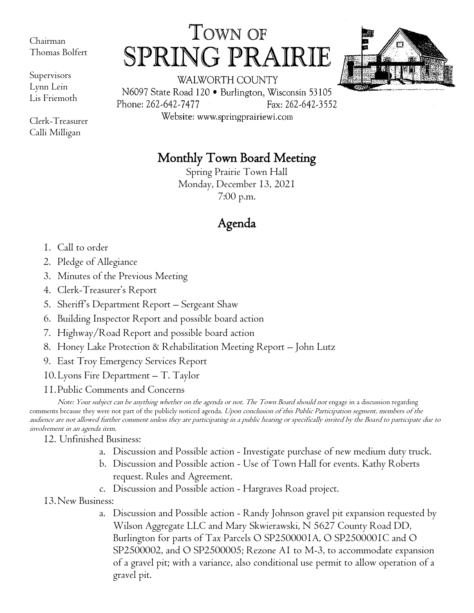Chairman Thomas Bolfert

Supervisors Lynn Lein Lis Friemoth

Clerk-Treasurer Calli Milligan

## TOWN OF SPRING PRA IRIE



WALWORTH COUNTY N6097 State Road 120 · Burlington, Wisconsin 53105 Phone: 262-642-7477 Fax: 262-642-3552

Website: www.springprairiewi.com

## Monthly Town Board Meeting

Spring Prairie Town Hall Monday, December 13, 2021 7:00 p.m.

## Agenda

- 1. Call to order
- 2. Pledge of Allegiance
- 3. Minutes of the Previous Meeting
- 4. Clerk-Treasurer's Report
- 5. Sheriff's Department Report Sergeant Shaw
- 6. Building Inspector Report and possible board action
- 7. Highway/Road Report and possible board action
- 8. Honey Lake Protection & Rehabilitation Meeting Report John Lutz
- 9. East Troy Emergency Services Report
- 10.Lyons Fire Department T. Taylor
- 11.Public Comments and Concerns

Note: Your subject can be anything whether on the agenda or not. The Town Board should not engage in a discussion regarding comments because they were not part of the publicly noticed agenda. Upon conclusion of this Public Participation segment, members of the audience are not allowed further comment unless they are participating in a public hearing or specifically invited by the Board to participate due to involvement in an agenda item.

12. Unfinished Business:

- a. Discussion and Possible action Investigate purchase of new medium duty truck.
- b. Discussion and Possible action Use of Town Hall for events. Kathy Roberts request. Rules and Agreement.
- c. Discussion and Possible action Hargraves Road project.
- 13.New Business:
	- a. Discussion and Possible action Randy Johnson gravel pit expansion requested by Wilson Aggregate LLC and Mary Skwierawski, N 5627 County Road DD, Burlington for parts of Tax Parcels O SP2500001A, O SP2500001C and O SP2500002, and O SP2500005; Rezone A1 to M-3, to accommodate expansion of a gravel pit; with a variance, also conditional use permit to allow operation of a gravel pit.